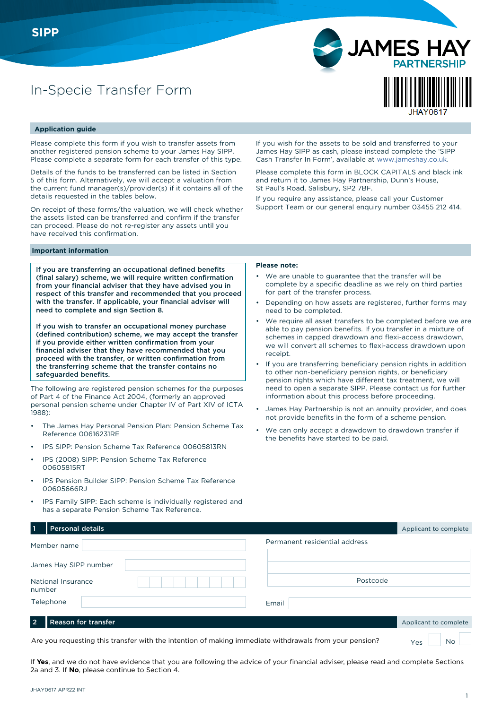# In-Specie Transfer Form



#### **Application guide**

Please complete this form if you wish to transfer assets from another registered pension scheme to your James Hay SIPP. Please complete a separate form for each transfer of this type.

Details of the funds to be transferred can be listed in Section 5 of this form. Alternatively, we will accept a valuation from the current fund manager(s)/provider(s) if it contains all of the details requested in the tables below.

On receipt of these forms/the valuation, we will check whether the assets listed can be transferred and confirm if the transfer can proceed. Please do not re-register any assets until you have received this confirmation.

If you wish for the assets to be sold and transferred to your James Hay SIPP as cash, please instead complete the 'SIPP Cash Transfer In Form', available at www.jameshay.co.uk.

Please complete this form in BLOCK CAPITALS and black ink and return it to James Hay Partnership, Dunn's House, St Paul's Road, Salisbury, SP2 7BF.

If you require any assistance, please call your Customer Support Team or our general enquiry number 03455 212 414.

#### **Important information**

If you are transferring an occupational defined benefits (final salary) scheme, we will require written confirmation from your financial adviser that they have advised you in respect of this transfer and recommended that you proceed with the transfer. If applicable, your financial adviser will need to complete and sign Section 8.

If you wish to transfer an occupational money purchase (defined contribution) scheme, we may accept the transfer if you provide either written confirmation from your financial adviser that they have recommended that you proceed with the transfer, or written confirmation from the transferring scheme that the transfer contains no safeguarded benefits.

The following are registered pension schemes for the purposes of Part 4 of the Finance Act 2004, (formerly an approved personal pension scheme under Chapter IV of Part XIV of ICTA 1988):

- The James Hay Personal Pension Plan: Pension Scheme Tax Reference 00616231RE
- IPS SIPP: Pension Scheme Tax Reference 00605813RN
- IPS (2008) SIPP: Pension Scheme Tax Reference 00605815RT
- IPS Pension Builder SIPP: Pension Scheme Tax Reference 00605666RJ
- IPS Family SIPP: Each scheme is individually registered and has a separate Pension Scheme Tax Reference.

#### **Please note:**

- We are unable to guarantee that the transfer will be complete by a specific deadline as we rely on third parties for part of the transfer process.
- Depending on how assets are registered, further forms may need to be completed.
- We require all asset transfers to be completed before we are able to pay pension benefits. If you transfer in a mixture of schemes in capped drawdown and flexi-access drawdown, we will convert all schemes to flexi-access drawdown upon receipt.
- If you are transferring beneficiary pension rights in addition to other non-beneficiary pension rights, or beneficiary pension rights which have different tax treatment, we will need to open a separate SIPP. Please contact us for further information about this process before proceeding.
- James Hay Partnership is not an annuity provider, and does not provide benefits in the form of a scheme pension.
- We can only accept a drawdown to drawdown transfer if the benefits have started to be paid.

| <b>Personal details</b>                                                                                |                               | Applicant to complete |
|--------------------------------------------------------------------------------------------------------|-------------------------------|-----------------------|
| Member name                                                                                            | Permanent residential address |                       |
| James Hay SIPP number                                                                                  |                               |                       |
| National Insurance<br>number                                                                           | Postcode                      |                       |
| Telephone                                                                                              | Email                         |                       |
| <b>Reason for transfer</b><br>ຳ                                                                        |                               | Applicant to complete |
| Are you requesting this transfer with the intention of making immediate withdrawals from your pension? |                               | No<br>Yes             |

If **Yes**, and we do not have evidence that you are following the advice of your financial adviser, please read and complete Sections 2a and 3. If **No**, please continue to Section 4.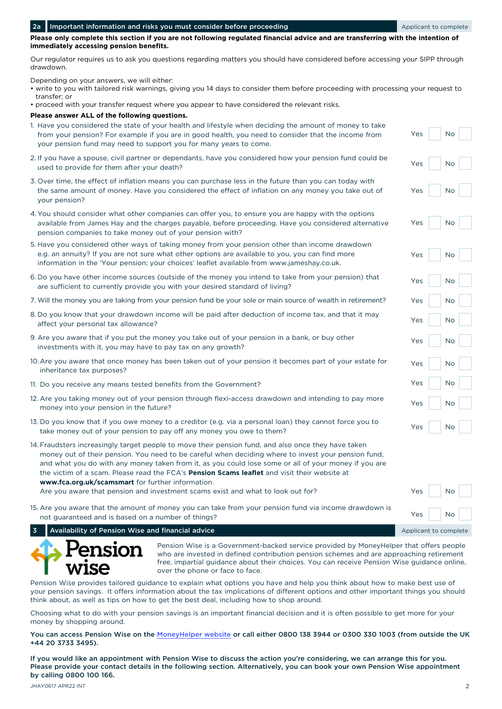$N<sub>0</sub>$ 

 $N<sub>0</sub>$ 

Yes No

Yes No

Yes No

Yes No

Yes No

Yes No

Yes

 $Y_{\mathsf{P}}$ 

Yes

Yes

 $Ye<sub>0</sub>$ 

**Please only complete this section if you are not following regulated financial advice and are transferring with the intention of immediately accessing pension benefits.** 

Our regulator requires us to ask you questions regarding matters you should have considered before accessing your SIPP through drawdown.

Depending on your answers, we will either:

- write to you with tailored risk warnings, giving you 14 days to consider them before proceeding with processing your request to transfer; or
- proceed with your transfer request where you appear to have considered the relevant risks.

**Please answer ALL of the following questions.**

- Yes No 1. Have you considered the state of your health and lifestyle when deciding the amount of money to take from your pension? For example if you are in good health, you need to consider that the income from your pension fund may need to support you for many years to come. 2. If you have a spouse, civil partner or dependants, have you considered how your pension fund could be used to provide for them after your death? Yes No
- 3. Over time, the effect of inflation means you can purchase less in the future than you can today with the same amount of money. Have you considered the effect of inflation on any money you take out of your pension?
- 4. You should consider what other companies can offer you, to ensure you are happy with the options available from James Hay and the charges payable, before proceeding. Have you considered alternative pension companies to take money out of your pension with?
- 5. Have you considered other ways of taking money from your pension other than income drawdown e.g. an annuity? If you are not sure what other options are available to you, you can find more information in the 'Your pension; your choices' leaflet available from www.jameshay.co.uk.
- 6. Do you have other income sources (outside of the money you intend to take from your pension) that are sufficient to currently provide you with your desired standard of living?
- 7. Will the money you are taking from your pension fund be your sole or main source of wealth in retirement?
- 8. Do you know that your drawdown income will be paid after deduction of income tax, and that it may affect your personal tax allowance?
- 9. Are you aware that if you put the money you take out of your pension in a bank, or buy other investments with it, you may have to pay tax on any growth?
- 10.Are you aware that once money has been taken out of your pension it becomes part of your estate for inheritance tax purposes?
- 11. Do you receive any means tested benefits from the Government?
- 12. Are you taking money out of your pension through flexi-access drawdown and intending to pay more money into your pension in the future?
- 13. Do you know that if you owe money to a creditor (e.g. via a personal loan) they cannot force you to take money out of your pension to pay off any money you owe to them?
- 14.Fraudsters increasingly target people to move their pension fund, and also once they have taken money out of their pension. You need to be careful when deciding where to invest your pension fund, and what you do with any money taken from it, as you could lose some or all of your money if you are the victim of a scam. Please read the FCA's **Pension Scams leaflet** and visit their website at **www.fca.org.uk/scamsmart** for further information.

Are you aware that pension and investment scams exist and what to look out for?

15. Are you aware that the amount of money you can take from your pension fund via income drawdown is not guaranteed and is based on a number of things?

**3 Availability of Pension Wise and financial advice** Applicant to complete Applicant to complete



Pension Wise is a Government-backed service provided by MoneyHelper that offers people who are invested in defined contribution pension schemes and are approaching retirement free, impartial guidance about their choices. You can receive Pension Wise guidance online, over the phone or face to face.

Pension Wise provides tailored guidance to explain what options you have and help you think about how to make best use of your pension savings. It offers information about the tax implications of different options and other important things you should think about, as well as tips on how to get the best deal, including how to shop around.

Choosing what to do with your pension savings is an important financial decision and it is often possible to get more for your money by shopping around.

You can access Pension Wise on the [MoneyHelper website](https://www.moneyhelper.org.uk/en/pensions-and-retirement/pension-wise) or call either 0800 138 3944 or 0300 330 1003 (from outside the UK +44 20 3733 3495).

If you would like an appointment with Pension Wise to discuss the action you're considering, we can arrange this for you. Please provide your contact details in the following section. Alternatively, you can book your own Pension Wise appointment by calling 0800 100 166.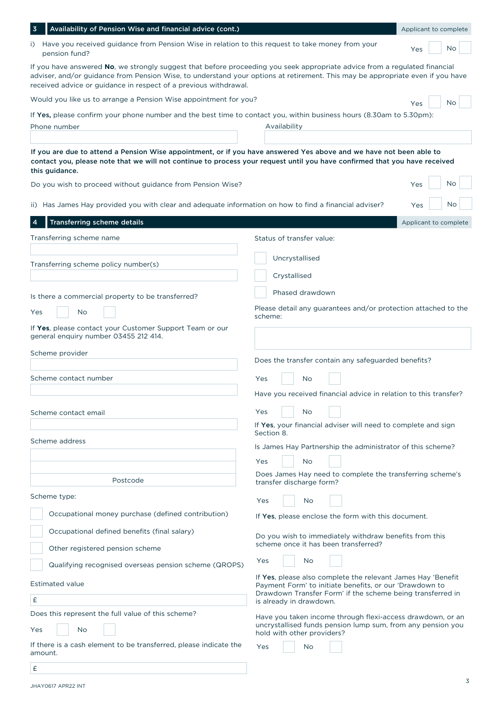| Availability of Pension Wise and financial advice (cont.)                                                                                                                                                                                                                                                                        | Applicant to complete                                                                                                     |
|----------------------------------------------------------------------------------------------------------------------------------------------------------------------------------------------------------------------------------------------------------------------------------------------------------------------------------|---------------------------------------------------------------------------------------------------------------------------|
| i) Have you received guidance from Pension Wise in relation to this request to take money from your<br>pension fund?                                                                                                                                                                                                             | Yes<br>No.                                                                                                                |
| If you have answered No, we strongly suggest that before proceeding you seek appropriate advice from a regulated financial<br>adviser, and/or guidance from Pension Wise, to understand your options at retirement. This may be appropriate even if you have<br>received advice or guidance in respect of a previous withdrawal. |                                                                                                                           |
| Would you like us to arrange a Pension Wise appointment for you?                                                                                                                                                                                                                                                                 | No<br>Yes                                                                                                                 |
| If Yes, please confirm your phone number and the best time to contact you, within business hours (8.30am to 5.30pm):<br>Phone number                                                                                                                                                                                             | Availability                                                                                                              |
| If you are due to attend a Pension Wise appointment, or if you have answered Yes above and we have not been able to<br>contact you, please note that we will not continue to process your request until you have confirmed that you have received<br>this guidance.                                                              |                                                                                                                           |
| Do you wish to proceed without guidance from Pension Wise?                                                                                                                                                                                                                                                                       | No.<br>Yes                                                                                                                |
| ii) Has James Hay provided you with clear and adequate information on how to find a financial adviser?                                                                                                                                                                                                                           | Yes<br>No                                                                                                                 |
| Transferring scheme details                                                                                                                                                                                                                                                                                                      | Applicant to complete                                                                                                     |
| Transferring scheme name                                                                                                                                                                                                                                                                                                         | Status of transfer value:                                                                                                 |
| Transferring scheme policy number(s)                                                                                                                                                                                                                                                                                             | Uncrystallised<br>Crystallised                                                                                            |
| Is there a commercial property to be transferred?                                                                                                                                                                                                                                                                                | Phased drawdown                                                                                                           |
| No<br>Yes                                                                                                                                                                                                                                                                                                                        | Please detail any guarantees and/or protection attached to the<br>scheme:                                                 |
| If Yes, please contact your Customer Support Team or our<br>general enquiry number 03455 212 414.                                                                                                                                                                                                                                |                                                                                                                           |
| Scheme provider                                                                                                                                                                                                                                                                                                                  |                                                                                                                           |
|                                                                                                                                                                                                                                                                                                                                  | Does the transfer contain any safeguarded benefits?                                                                       |
| Scheme contact number                                                                                                                                                                                                                                                                                                            | Yes<br>No                                                                                                                 |
|                                                                                                                                                                                                                                                                                                                                  | Have you received financial advice in relation to this transfer?                                                          |
| Scheme contact email                                                                                                                                                                                                                                                                                                             | Yes<br>No                                                                                                                 |
|                                                                                                                                                                                                                                                                                                                                  | If Yes, your financial adviser will need to complete and sign<br>Section 8.                                               |
| Scheme address                                                                                                                                                                                                                                                                                                                   | Is James Hay Partnership the administrator of this scheme?                                                                |
|                                                                                                                                                                                                                                                                                                                                  | Yes<br>No                                                                                                                 |
| Postcode                                                                                                                                                                                                                                                                                                                         | Does James Hay need to complete the transferring scheme's                                                                 |
|                                                                                                                                                                                                                                                                                                                                  | transfer discharge form?                                                                                                  |
| Scheme type:                                                                                                                                                                                                                                                                                                                     | Yes<br>No                                                                                                                 |
| Occupational money purchase (defined contribution)                                                                                                                                                                                                                                                                               | If Yes, please enclose the form with this document.                                                                       |
| Occupational defined benefits (final salary)                                                                                                                                                                                                                                                                                     | Do you wish to immediately withdraw benefits from this                                                                    |
| Other registered pension scheme                                                                                                                                                                                                                                                                                                  | scheme once it has been transferred?                                                                                      |
| Qualifying recognised overseas pension scheme (QROPS)                                                                                                                                                                                                                                                                            | No<br>Yes                                                                                                                 |
| <b>Estimated value</b>                                                                                                                                                                                                                                                                                                           | If Yes, please also complete the relevant James Hay 'Benefit<br>Payment Form' to initiate benefits, or our 'Drawdown to   |
| £                                                                                                                                                                                                                                                                                                                                | Drawdown Transfer Form' if the scheme being transferred in<br>is already in drawdown.                                     |
| Does this represent the full value of this scheme?<br>No<br>Yes                                                                                                                                                                                                                                                                  | Have you taken income through flexi-access drawdown, or an<br>uncrystallised funds pension lump sum, from any pension you |
| If there is a cash element to be transferred, please indicate the<br>amount.                                                                                                                                                                                                                                                     | hold with other providers?<br>No<br><b>Yes</b>                                                                            |
| £                                                                                                                                                                                                                                                                                                                                |                                                                                                                           |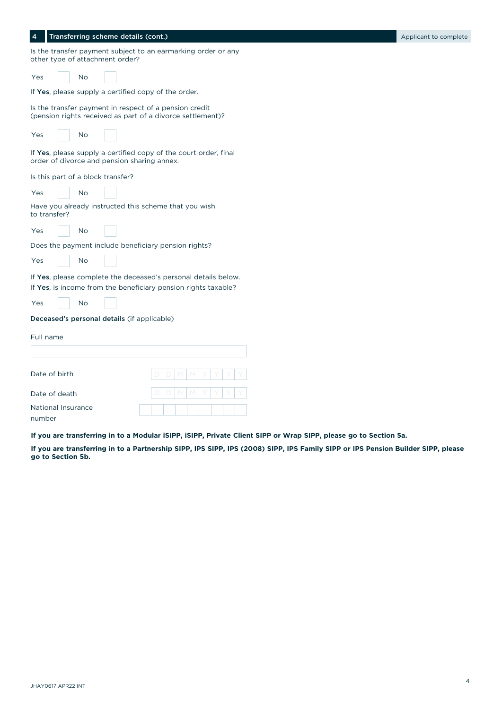| Is the transfer payment subject to an earmarking order or any<br>other type of attachment order?                     |
|----------------------------------------------------------------------------------------------------------------------|
| <b>No</b><br>Yes                                                                                                     |
| If Yes, please supply a certified copy of the order.                                                                 |
| Is the transfer payment in respect of a pension credit<br>(pension rights received as part of a divorce settlement)? |
| <b>No</b><br>Yes                                                                                                     |
| If Yes, please supply a certified copy of the court order, final<br>order of divorce and pension sharing annex.      |
| Is this part of a block transfer?                                                                                    |
| <b>No</b><br>Yes                                                                                                     |
| Have you already instructed this scheme that you wish<br>to transfer?                                                |
| Yes<br>No                                                                                                            |
| Does the payment include beneficiary pension rights?                                                                 |
| Yes<br>No                                                                                                            |
| If Yes, please complete the deceased's personal details below.                                                       |
| If Yes, is income from the beneficiary pension rights taxable?                                                       |
| <b>No</b><br>Yes                                                                                                     |
| Deceased's personal details (if applicable)                                                                          |
| Full name                                                                                                            |
|                                                                                                                      |
| Date of birth                                                                                                        |
| Date of death                                                                                                        |
| National Insurance<br>number                                                                                         |

4 Transferring scheme details (cont.) Applicant to complete the state of the state of the state of the state of the state of the state of the state of the state of the state of the state of the state of the state of the st

**If you are transferring in to a Modular iSIPP, iSIPP, Private Client SIPP or Wrap SIPP, please go to Section 5a.**

**If you are transferring in to a Partnership SIPP, IPS SIPP, IPS (2008) SIPP, IPS Family SIPP or IPS Pension Builder SIPP, please go to Section 5b.**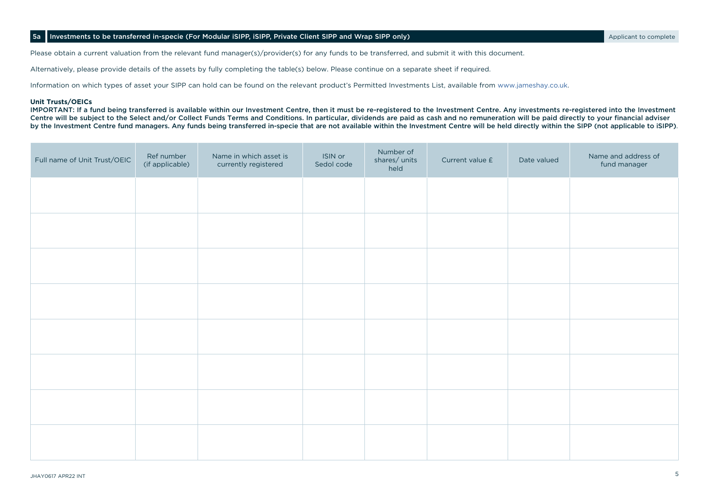## 5a Investments to be transferred in-specie (For Modular iSIPP, iSIPP, Private Client SIPP and Wrap SIPP only) Applicant to complete

Please obtain a current valuation from the relevant fund manager(s)/provider(s) for any funds to be transferred, and submit it with this document.

Alternatively, please provide details of the assets by fully completing the table(s) below. Please continue on a separate sheet if required.

Information on which types of asset your SIPP can hold can be found on the relevant product's Permitted Investments List, available from www.jameshay.co.uk.

#### **Unit Trusts/OEICs**

IMPORTANT: If a fund being transferred is available within our Investment Centre, then it must be re-registered to the Investment Centre. Any investments re-registered into the Investment Centre will be subject to the Select and/or Collect Funds Terms and Conditions. In particular, dividends are paid as cash and no remuneration will be paid directly to your financial adviser by the Investment Centre fund managers. Any funds being transferred in-specie that are not available within the Investment Centre will be held directly within the SIPP (not applicable to iSIPP).

| Full name of Unit Trust/OEIC | Ref number<br>(if applicable) | Name in which asset is<br>currently registered | ISIN or<br>Sedol code | Number of<br>shares/units<br>held | Current value £ | Date valued | Name and address of<br>fund manager |
|------------------------------|-------------------------------|------------------------------------------------|-----------------------|-----------------------------------|-----------------|-------------|-------------------------------------|
|                              |                               |                                                |                       |                                   |                 |             |                                     |
|                              |                               |                                                |                       |                                   |                 |             |                                     |
|                              |                               |                                                |                       |                                   |                 |             |                                     |
|                              |                               |                                                |                       |                                   |                 |             |                                     |
|                              |                               |                                                |                       |                                   |                 |             |                                     |
|                              |                               |                                                |                       |                                   |                 |             |                                     |
|                              |                               |                                                |                       |                                   |                 |             |                                     |
|                              |                               |                                                |                       |                                   |                 |             |                                     |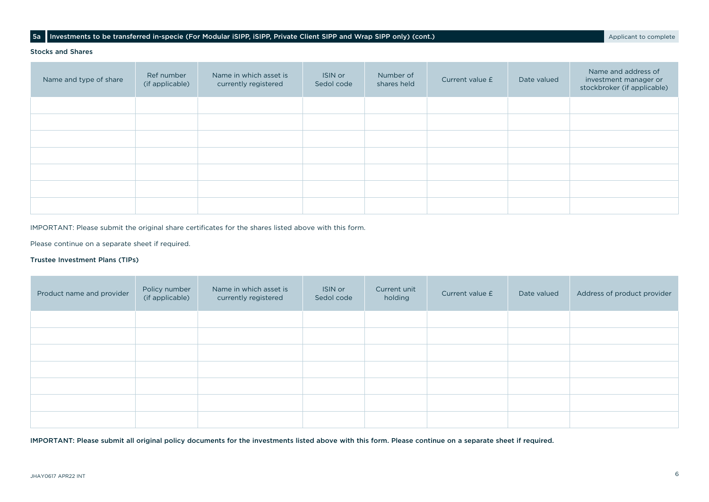## 5a Investments to be transferred in-specie (For Modular iSIPP, ISIPP, Private Client SIPP and Wrap SIPP only) (cont.)

#### Stocks and Shares

| Name and type of share | Ref number<br>(if applicable) | Name in which asset is<br>currently registered | ISIN or<br>Sedol code | Number of<br>shares held | Current value £ | Date valued | Name and address of<br>investment manager or<br>stockbroker (if applicable) |
|------------------------|-------------------------------|------------------------------------------------|-----------------------|--------------------------|-----------------|-------------|-----------------------------------------------------------------------------|
|                        |                               |                                                |                       |                          |                 |             |                                                                             |
|                        |                               |                                                |                       |                          |                 |             |                                                                             |
|                        |                               |                                                |                       |                          |                 |             |                                                                             |
|                        |                               |                                                |                       |                          |                 |             |                                                                             |
|                        |                               |                                                |                       |                          |                 |             |                                                                             |
|                        |                               |                                                |                       |                          |                 |             |                                                                             |
|                        |                               |                                                |                       |                          |                 |             |                                                                             |

IMPORTANT: Please submit the original share certificates for the shares listed above with this form.

Please continue on a separate sheet if required.

## Trustee Investment Plans (TIPs)

| Product name and provider | Policy number<br>(if applicable) | Name in which asset is<br>currently registered | ISIN or<br>Sedol code | Current unit<br>holding | Current value £ | Date valued | Address of product provider |
|---------------------------|----------------------------------|------------------------------------------------|-----------------------|-------------------------|-----------------|-------------|-----------------------------|
|                           |                                  |                                                |                       |                         |                 |             |                             |
|                           |                                  |                                                |                       |                         |                 |             |                             |
|                           |                                  |                                                |                       |                         |                 |             |                             |
|                           |                                  |                                                |                       |                         |                 |             |                             |
|                           |                                  |                                                |                       |                         |                 |             |                             |
|                           |                                  |                                                |                       |                         |                 |             |                             |
|                           |                                  |                                                |                       |                         |                 |             |                             |

IMPORTANT: Please submit all original policy documents for the investments listed above with this form. Please continue on a separate sheet if required.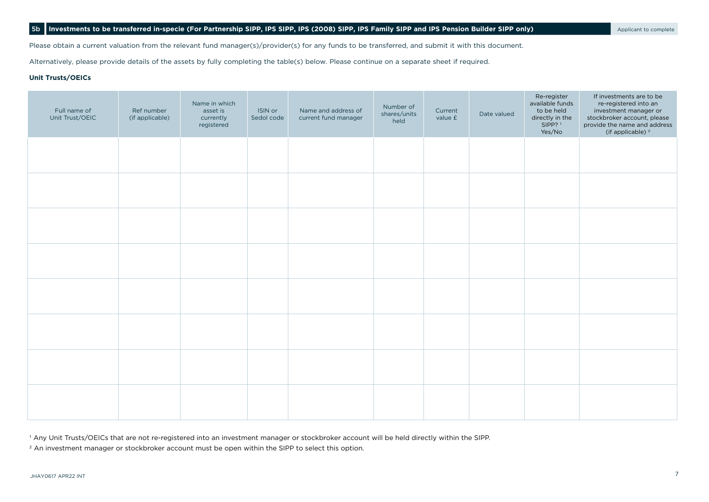## 5b **Investments to be transferred in-specie (For Partnership SIPP, IPS SIPP, IPS (2008) SIPP, IPS Family SIPP and IPS Pension Builder SIPP only)** Applicant to complete

Please obtain a current valuation from the relevant fund manager(s)/provider(s) for any funds to be transferred, and submit it with this document.

Alternatively, please provide details of the assets by fully completing the table(s) below. Please continue on a separate sheet if required.

## **Unit Trusts/OEICs**

| Full name of<br>Unit Trust/OEIC | Ref number<br>(if applicable) | Name in which<br>asset is<br>currently<br>registered | ISIN or<br>Sedol code | Name and address of<br>current fund manager | Number of<br>shares/units<br>held | Current<br>value £ | Date valued | Re-register<br>available funds<br>to be held<br>directly in the<br>SIPP? <sup>1</sup><br>Yes/No | If investments are to be<br>re-registered into an<br>investment manager or<br>stockbroker account, please<br>provide the name and address<br>(if applicable) <sup>2</sup> |
|---------------------------------|-------------------------------|------------------------------------------------------|-----------------------|---------------------------------------------|-----------------------------------|--------------------|-------------|-------------------------------------------------------------------------------------------------|---------------------------------------------------------------------------------------------------------------------------------------------------------------------------|
|                                 |                               |                                                      |                       |                                             |                                   |                    |             |                                                                                                 |                                                                                                                                                                           |
|                                 |                               |                                                      |                       |                                             |                                   |                    |             |                                                                                                 |                                                                                                                                                                           |
|                                 |                               |                                                      |                       |                                             |                                   |                    |             |                                                                                                 |                                                                                                                                                                           |
|                                 |                               |                                                      |                       |                                             |                                   |                    |             |                                                                                                 |                                                                                                                                                                           |
|                                 |                               |                                                      |                       |                                             |                                   |                    |             |                                                                                                 |                                                                                                                                                                           |
|                                 |                               |                                                      |                       |                                             |                                   |                    |             |                                                                                                 |                                                                                                                                                                           |
|                                 |                               |                                                      |                       |                                             |                                   |                    |             |                                                                                                 |                                                                                                                                                                           |
|                                 |                               |                                                      |                       |                                             |                                   |                    |             |                                                                                                 |                                                                                                                                                                           |

1 Any Unit Trusts/OEICs that are not re-registered into an investment manager or stockbroker account will be held directly within the SIPP.

<sup>2</sup> An investment manager or stockbroker account must be open within the SIPP to select this option.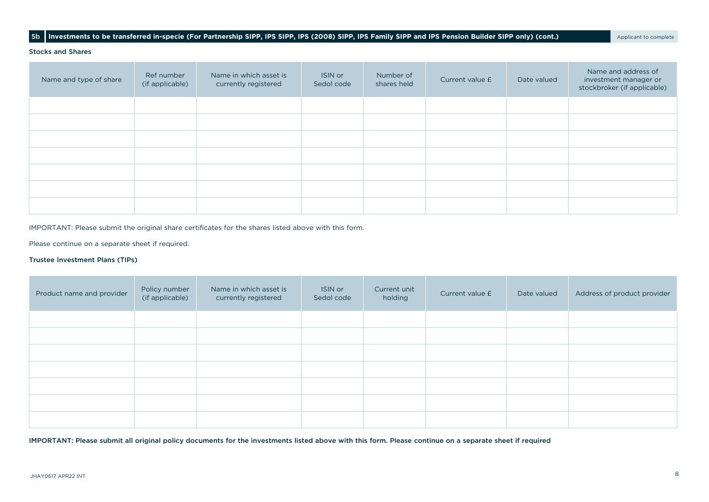## 5b Investments to be transferred in-specie (For Partnership SIPP, IPS SIPP, IPS (2008) SIPP, IPS Family SIPP and IPS Pension Builder SIPP only) (cont.) Applicant to complete

#### Stocks and Shares

| Name and type of share | Ref number<br>(if applicable) | Name in which asset is<br>currently registered | ISIN or<br>Sedol code | Number of<br>shares held | Current value £ | Date valued | Name and address of<br>investment manager or<br>stockbroker (if applicable) |
|------------------------|-------------------------------|------------------------------------------------|-----------------------|--------------------------|-----------------|-------------|-----------------------------------------------------------------------------|
|                        |                               |                                                |                       |                          |                 |             |                                                                             |
|                        |                               |                                                |                       |                          |                 |             |                                                                             |
|                        |                               |                                                |                       |                          |                 |             |                                                                             |
|                        |                               |                                                |                       |                          |                 |             |                                                                             |
|                        |                               |                                                |                       |                          |                 |             |                                                                             |
|                        |                               |                                                |                       |                          |                 |             |                                                                             |
|                        |                               |                                                |                       |                          |                 |             |                                                                             |

IMPORTANT: Please submit the original share certificates for the shares listed above with this form.

Please continue on a separate sheet if required.

## Trustee Investment Plans (TIPs)

| Product name and provider | Policy number<br>(if applicable) | Name in which asset is<br>currently registered | ISIN or<br>Sedol code | Current unit<br>holding | Current value £ | Date valued | Address of product provider |
|---------------------------|----------------------------------|------------------------------------------------|-----------------------|-------------------------|-----------------|-------------|-----------------------------|
|                           |                                  |                                                |                       |                         |                 |             |                             |
|                           |                                  |                                                |                       |                         |                 |             |                             |
|                           |                                  |                                                |                       |                         |                 |             |                             |
|                           |                                  |                                                |                       |                         |                 |             |                             |
|                           |                                  |                                                |                       |                         |                 |             |                             |
|                           |                                  |                                                |                       |                         |                 |             |                             |
|                           |                                  |                                                |                       |                         |                 |             |                             |

IMPORTANT: Please submit all original policy documents for the investments listed above with this form. Please continue on a separate sheet if required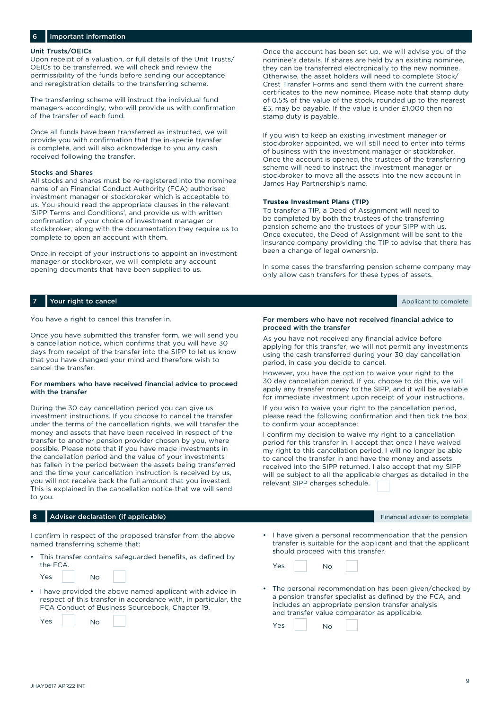## Important information

#### Unit Trusts/OEICs

Upon receipt of a valuation, or full details of the Unit Trusts/ OEICs to be transferred, we will check and review the permissibility of the funds before sending our acceptance and reregistration details to the transferring scheme.

The transferring scheme will instruct the individual fund managers accordingly, who will provide us with confirmation of the transfer of each fund.

Once all funds have been transferred as instructed, we will provide you with confirmation that the in-specie transfer is complete, and will also acknowledge to you any cash received following the transfer.

#### Stocks and Shares

All stocks and shares must be re-registered into the nominee name of an Financial Conduct Authority (FCA) authorised investment manager or stockbroker which is acceptable to us. You should read the appropriate clauses in the relevant 'SIPP Terms and Conditions', and provide us with written confirmation of your choice of investment manager or stockbroker, along with the documentation they require us to complete to open an account with them.

Once in receipt of your instructions to appoint an investment manager or stockbroker, we will complete any account opening documents that have been supplied to us.

Once the account has been set up, we will advise you of the nominee's details. If shares are held by an existing nominee, they can be transferred electronically to the new nominee. Otherwise, the asset holders will need to complete Stock/ Crest Transfer Forms and send them with the current share certificates to the new nominee. Please note that stamp duty of 0.5% of the value of the stock, rounded up to the nearest £5, may be payable. If the value is under £1,000 then no stamp duty is payable.

If you wish to keep an existing investment manager or stockbroker appointed, we will still need to enter into terms of business with the investment manager or stockbroker. Once the account is opened, the trustees of the transferring scheme will need to instruct the investment manager or stockbroker to move all the assets into the new account in James Hay Partnership's name.

#### **Trustee Investment Plans (TIP)**

To transfer a TIP, a Deed of Assignment will need to be completed by both the trustees of the transferring pension scheme and the trustees of your SIPP with us. Once executed, the Deed of Assignment will be sent to the insurance company providing the TIP to advise that there has been a change of legal ownership.

In some cases the transferring pension scheme company may only allow cash transfers for these types of assets.

## **7 Your right to cancel** Applicant to complete the complete and the complete and the complete and the complete and the complete and the complete and the complete and the complete and the complete and the complete and the c

You have a right to cancel this transfer in.

Once you have submitted this transfer form, we will send you a cancellation notice, which confirms that you will have 30 days from receipt of the transfer into the SIPP to let us know that you have changed your mind and therefore wish to cancel the transfer.

#### For members who have received financial advice to proceed with the transfer

During the 30 day cancellation period you can give us investment instructions. If you choose to cancel the transfer under the terms of the cancellation rights, we will transfer the money and assets that have been received in respect of the transfer to another pension provider chosen by you, where possible. Please note that if you have made investments in the cancellation period and the value of your investments has fallen in the period between the assets being transferred and the time your cancellation instruction is received by us, you will not receive back the full amount that you invested. This is explained in the cancellation notice that we will send to you.

#### 8 Adviser declaration (if applicable) Adviser to complete and the state of the state of the state of the state of the state of the state of the state of the state of the state of the state of the state of the state of the

I confirm in respect of the proposed transfer from the above named transferring scheme that:

This transfer contains safeguarded benefits, as defined by the FCA.

| Yes<br>No |  |
|-----------|--|
|-----------|--|

• I have provided the above named applicant with advice in respect of this transfer in accordance with, in particular, the FCA Conduct of Business Sourcebook, Chapter 19.

| Yes | Νo |  |
|-----|----|--|
|     |    |  |

#### For members who have not received financial advice to proceed with the transfer

As you have not received any financial advice before applying for this transfer, we will not permit any investments using the cash transferred during your 30 day cancellation period, in case you decide to cancel.

However, you have the option to waive your right to the 30 day cancellation period. If you choose to do this, we will apply any transfer money to the SIPP, and it will be available for immediate investment upon receipt of your instructions.

If you wish to waive your right to the cancellation period, please read the following confirmation and then tick the box to confirm your acceptance:

I confirm my decision to waive my right to a cancellation period for this transfer in. I accept that once I have waived my right to this cancellation period, I will no longer be able to cancel the transfer in and have the money and assets received into the SIPP returned. I also accept that my SIPP will be subject to all the applicable charges as detailed in the relevant SIPP charges schedule.

| • I have given a personal recommendation that the pension     |
|---------------------------------------------------------------|
| transfer is suitable for the applicant and that the applicant |
| should proceed with this transfer.                            |

• The personal recommendation has been given/checked by a pension transfer specialist as defined by the FCA, and includes an appropriate pension transfer analysis and transfer value comparator as applicable.

Yes No